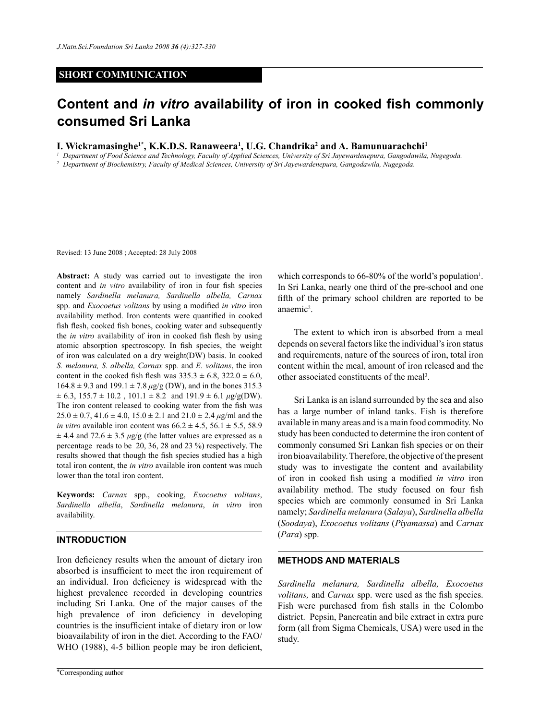# **SHORT COMMUNICATION**

# **Content and** *in vitro* **availability of iron in cooked fish commonly consumed Sri Lanka**

**I. Wickramasinghe<sup>1\*</sup>, K.K.D.S. Ranaweera<sup>1</sup>, U.G. Chandrika<sup>2</sup> and A. Bamunuarachchi<sup>1</sup>** 

*<sup>1</sup> Department of Food Science and Technology, Faculty of Applied Sciences, University of Sri Jayewardenepura, Gangodawila, Nugegoda.*

*<sup>2</sup> Department of Biochemistry, Faculty of Medical Sciences, University of Sri Jayewardenepura, Gangodawila, Nugegoda*.

Revised: 13 June 2008 ; Accepted: 28 July 2008

**Abstract:** A study was carried out to investigate the iron content and *in vitro* availability of iron in four fish species namely *Sardinella melanura, Sardinella albella, Carnax*  spp. and *Exocoetus volitans* by using a modified *in vitro* iron availability method. Iron contents were quantified in cooked fish flesh, cooked fish bones, cooking water and subsequently the *in vitro* availability of iron in cooked fish flesh by using atomic absorption spectroscopy. In fish species, the weight of iron was calculated on a dry weight(DW) basis. In cooked *S. melanura, S. albella, Carnax* spp*.* and *E. volitans*, the iron content in the cooked fish flesh was  $335.3 \pm 6.8$ ,  $322.0 \pm 6.0$ ,  $164.8 \pm 9.3$  and  $199.1 \pm 7.8 \,\mu g/g$  (DW), and in the bones 315.3  $\pm$  6.3, 155.7  $\pm$  10.2, 101.1  $\pm$  8.2 and 191.9  $\pm$  6.1  $\mu$ g/g(DW). The iron content released to cooking water from the fish was  $25.0 \pm 0.7$ ,  $41.6 \pm 4.0$ ,  $15.0 \pm 2.1$  and  $21.0 \pm 2.4$   $\mu$ g/ml and the *in vitro* available iron content was  $66.2 \pm 4.5$ ,  $56.1 \pm 5.5$ ,  $58.9$  $\pm$  4.4 and 72.6  $\pm$  3.5  $\mu$ g/g (the latter values are expressed as a percentage reads to be 20, 36, 28 and 23 %) respectively. The results showed that though the fish species studied has a high total iron content, the *in vitro* available iron content was much lower than the total iron content.

**Keywords:** *Carnax* spp., cooking, *Exocoetus volitans*, *Sardinella albella*, *Sardinella melanura*, *in vitro* iron availability.

## **Introduction**

Iron deficiency results when the amount of dietary iron absorbed is insufficient to meet the iron requirement of an individual. Iron deficiency is widespread with the highest prevalence recorded in developing countries including Sri Lanka. One of the major causes of the high prevalence of iron deficiency in developing countries is the insufficient intake of dietary iron or low bioavailability of iron in the diet. According to the FAO/ WHO (1988), 4-5 billion people may be iron deficient,

which corresponds to  $66-80\%$  of the world's population<sup>1</sup>. In Sri Lanka, nearly one third of the pre-school and one fifth of the primary school children are reported to be anaemic<sup>2</sup>.

The extent to which iron is absorbed from a meal depends on several factors like the individual's iron status and requirements, nature of the sources of iron, total iron content within the meal, amount of iron released and the other associated constituents of the meal<sup>3</sup>.

Sri Lanka is an island surrounded by the sea and also has a large number of inland tanks. Fish is therefore available in many areas and is a main food commodity. No study has been conducted to determine the iron content of commonly consumed Sri Lankan fish species or on their iron bioavailability. Therefore, the objective of the present study was to investigate the content and availability of iron in cooked fish using a modified *in vitro* iron availability method. The study focused on four fish species which are commonly consumed in Sri Lanka namely; *Sardinella melanura* (*Salaya*), *Sardinella albella* (*Soodaya*), *Exocoetus volitans* (*Piyamassa*) and *Carnax* (*Para*) spp.

# **Methods and Materials**

*Sardinella melanura, Sardinella albella, Exocoetus volitans,* and *Carnax* spp. were used as the fish species. Fish were purchased from fish stalls in the Colombo district. Pepsin, Pancreatin and bile extract in extra pure form (all from Sigma Chemicals, USA) were used in the study.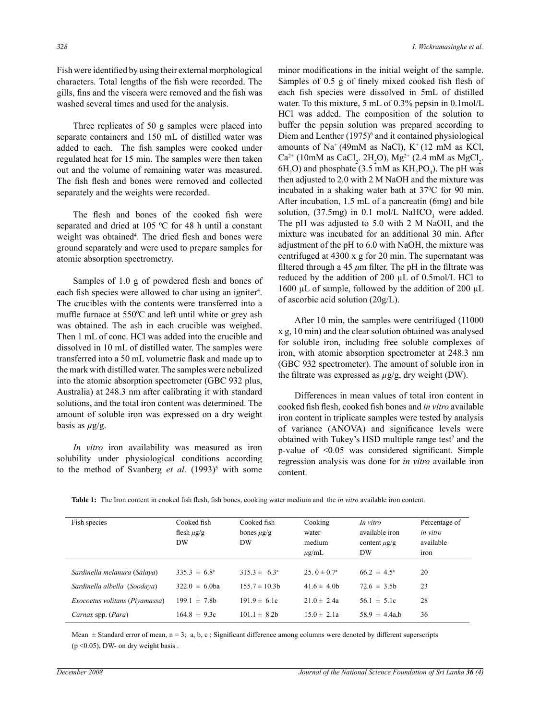Fish were identified by using their external morphological characters. Total lengths of the fish were recorded. The gills, fins and the viscera were removed and the fish was washed several times and used for the analysis.

Three replicates of 50 g samples were placed into separate containers and 150 mL of distilled water was added to each. The fish samples were cooked under regulated heat for 15 min. The samples were then taken out and the volume of remaining water was measured. The fish flesh and bones were removed and collected separately and the weights were recorded.

 The flesh and bones of the cooked fish were separated and dried at 105  $\degree$ C for 48 h until a constant weight was obtained<sup>4</sup>. The dried flesh and bones were ground separately and were used to prepare samples for atomic absorption spectrometry.

 Samples of 1.0 g of powdered flesh and bones of each fish species were allowed to char using an igniter<sup>4</sup>. The crucibles with the contents were transferred into a muffle furnace at 550°C and left until white or grey ash was obtained. The ash in each crucible was weighed. Then 1 mL of conc. HCl was added into the crucible and dissolved in 10 mL of distilled water. The samples were transferred into a 50 mL volumetric flask and made up to the mark with distilled water. The samples were nebulized into the atomic absorption spectrometer (GBC 932 plus, Australia) at 248.3 nm after calibrating it with standard solutions, and the total iron content was determined. The amount of soluble iron was expressed on a dry weight basis as  $\mu$ g/g.

*In vitro* iron availability was measured as iron solubility under physiological conditions according to the method of Svanberg *et al.* (1993)<sup>5</sup> with some minor modifications in the initial weight of the sample. Samples of 0.5 g of finely mixed cooked fish flesh of each fish species were dissolved in 5mL of distilled water. To this mixture, 5 mL of 0.3% pepsin in 0.1mol/L HCl was added. The composition of the solution to buffer the pepsin solution was prepared according to Diem and Lenther (1975)<sup>6</sup> and it contained physiological amounts of  $Na^+(49m)$  as NaCl),  $K^+(12 mM)$  as KCl,  $Ca^{2+}$  (10mM as CaCl<sub>2</sub>. 2H<sub>2</sub>O), Mg<sup>2+</sup> (2.4 mM as MgCl<sub>2</sub>.  $6H_2O$ ) and phosphate (3.5 mM as  $KH_2PO_4$ ). The pH was then adjusted to 2.0 with 2 M NaOH and the mixture was incubated in a shaking water bath at  $37^{\circ}$ C for 90 min. After incubation, 1.5 mL of a pancreatin (6mg) and bile solution,  $(37.5mg)$  in 0.1 mol/L NaHCO<sub>3</sub> were added. The pH was adjusted to 5.0 with 2 M NaOH, and the mixture was incubated for an additional 30 min. After adjustment of the pH to 6.0 with NaOH, the mixture was centrifuged at 4300 x g for 20 min. The supernatant was filtered through a 45 *μ*m filter. The pH in the filtrate was reduced by the addition of 200 µL of 0.5mol/L HCl to 1600 µL of sample, followed by the addition of 200 µL of ascorbic acid solution (20g/L).

After 10 min, the samples were centrifuged (11000 x g, 10 min) and the clear solution obtained was analysed for soluble iron, including free soluble complexes of iron, with atomic absorption spectrometer at 248.3 nm (GBC 932 spectrometer). The amount of soluble iron in the filtrate was expressed as *µ*g/g, dry weight (DW).

Differences in mean values of total iron content in cooked fish flesh, cooked fish bones and *in vitro* available iron content in triplicate samples were tested by analysis of variance (ANOVA) and significance levels were obtained with Tukey's HSD multiple range test<sup>7</sup> and the p-value of <0.05 was considered significant. Simple regression analysis was done for *in vitro* available iron content.

| Fish species                   | Cooked fish<br>flesh $\mu$ g/g<br>DW | Cooked fish<br>bones $\mu$ g/g<br><b>DW</b> | Cooking<br>water<br>medium<br>$\mu$ g/mL | In vitro<br>available iron<br>content $\mu$ g/g<br>DW | Percentage of<br>in vitro<br>available<br>ıron |
|--------------------------------|--------------------------------------|---------------------------------------------|------------------------------------------|-------------------------------------------------------|------------------------------------------------|
| Sardinella melanura (Salaya)   | $335.3 \pm 6.8^{\circ}$              | $315.3 \pm 6.3^{\circ}$                     | 25. $0 \pm 0.7^{\circ}$                  | $66.2 \pm 4.5^{\circ}$                                | 20                                             |
| Sardinella albella (Soodaya)   | $322.0 \pm 6.0$ ba                   | $155.7 \pm 10.3$ h                          | 41.6 $\pm$ 4.0b                          | $72.6 \pm 3.5$ h                                      | 23                                             |
| Exocoetus volitans (Piyamassa) | $199.1 \pm 7.8$ h                    | $191.9 \pm 6.1c$                            | $21.0 \pm 2.4a$                          | $56.1 \pm 5.1c$                                       | 28                                             |
| Carnax spp. (Para)             | $164.8 \pm 9.3c$                     | $101.1 \pm 8.2$ h                           | $15.0 \pm 2.1a$                          | $58.9 \pm 4.4a$ .b                                    | 36                                             |

Table 1: The Iron content in cooked fish flesh, fish bones, cooking water medium and the *in vitro* available iron content.

Mean  $\pm$  Standard error of mean, n = 3; a, b, c; Significant difference among columns were denoted by different superscripts  $(p \le 0.05)$ , DW- on dry weight basis.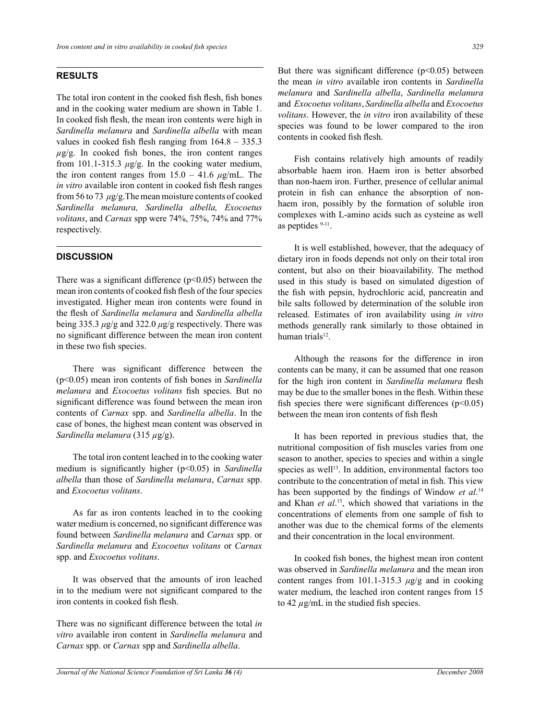### **Results**

The total iron content in the cooked fish flesh, fish bones and in the cooking water medium are shown in Table 1. In cooked fish flesh, the mean iron contents were high in *Sardinella melanura* and *Sardinella albella* with mean values in cooked fish flesh ranging from 164.8 – 335.3  $\mu$ g/g. In cooked fish bones, the iron content ranges from 101.1-315.3  $\mu$ g/g. In the cooking water medium, the iron content ranges from  $15.0 - 41.6 \mu g/mL$ . The *in vitro* available iron content in cooked fish flesh ranges from 56 to 73 *μ*g/g.The mean moisture contents of cooked *Sardinella melanura, Sardinella albella, Exocoetus volitans*, and *Carnax* spp were 74%, 75%, 74% and 77% respectively.

#### **Discussion**

There was a significant difference  $(p<0.05)$  between the mean iron contents of cooked fish flesh of the four species investigated. Higher mean iron contents were found in the flesh of *Sardinella melanura* and *Sardinella albella*  being 335.3 *μ*g/g and 322.0 *μ*g/g respectively. There was no significant difference between the mean iron content in these two fish species.

 There was significant difference between the (p<0.05) mean iron contents of fish bones in *Sardinella melanura* and *Exocoetus volitans* fish species. But no significant difference was found between the mean iron contents of *Carnax* spp. and *Sardinella albella*. In the case of bones, the highest mean content was observed in *Sardinella melanura* (315 *µ*g/g).

The total iron content leached in to the cooking water medium is significantly higher (p<0.05) in *Sardinella albella* than those of *Sardinella melanura*, *Carnax* spp. and *Exocoetus volitans*.

As far as iron contents leached in to the cooking water medium is concerned, no significant difference was found between *Sardinella melanura* and *Carnax* spp. or *Sardinella melanura* and *Exocoetus volitans* or *Carnax*  spp. and *Exocoetus volitans*.

It was observed that the amounts of iron leached in to the medium were not significant compared to the iron contents in cooked fish flesh.

There was no significant difference between the total *in vitro* available iron content in *Sardinella melanura* and *Carnax* spp. or *Carnax* spp and *Sardinella albella*.

But there was significant difference  $(p<0.05)$  between the mean *in vitro* available iron contents in *Sardinella melanura* and *Sardinella albella*, *Sardinella melanura* and *Exocoetus volitans*, *Sardinella albella* and *Exocoetus volitans*. However, the *in vitro* iron availability of these species was found to be lower compared to the iron contents in cooked fish flesh.

Fish contains relatively high amounts of readily absorbable haem iron. Haem iron is better absorbed than non-haem iron. Further, presence of cellular animal protein in fish can enhance the absorption of nonhaem iron, possibly by the formation of soluble iron complexes with L-amino acids such as cysteine as well as peptides <sup>9-11</sup>.

It is well established, however, that the adequacy of dietary iron in foods depends not only on their total iron content, but also on their bioavailability. The method used in this study is based on simulated digestion of the fish with pepsin, hydrochloric acid, pancreatin and bile salts followed by determination of the soluble iron released. Estimates of iron availability using *in vitro*  methods generally rank similarly to those obtained in human trial $s<sup>12</sup>$ .

Although the reasons for the difference in iron contents can be many, it can be assumed that one reason for the high iron content in *Sardinella melanura* flesh may be due to the smaller bones in the flesh. Within these fish species there were significant differences ( $p<0.05$ ) between the mean iron contents of fish flesh

It has been reported in previous studies that, the nutritional composition of fish muscles varies from one season to another, species to species and within a single species as well<sup>13</sup>. In addition, environmental factors too contribute to the concentration of metal in fish. This view has been supported by the findings of Window *et al*. 14 and Khan *et al*. 15, which showed that variations in the concentrations of elements from one sample of fish to another was due to the chemical forms of the elements and their concentration in the local environment.

 In cooked fish bones, the highest mean iron content was observed in *Sardinella melanura* and the mean iron content ranges from 101.1-315.3 *μ*g/g and in cooking water medium, the leached iron content ranges from 15 to 42  $\mu$ g/mL in the studied fish species.